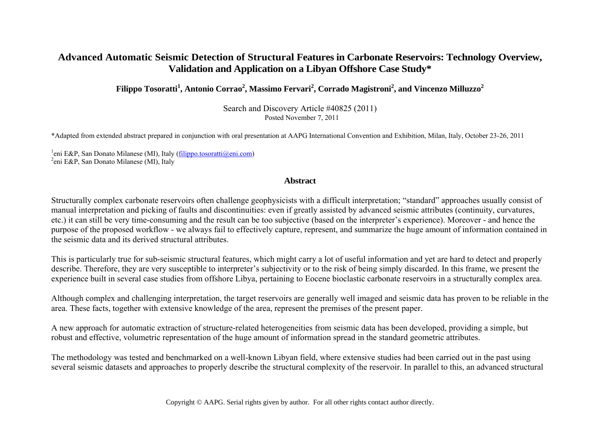# **Advanced Automatic Seismic Detection of Structural Features in Carbonate Reservoirs: Technology Overview, Validation and Application on a Libyan Offshore Case Study\***

 $\bf{Filippo Tosoratti}^1, \bf{Antonio Corrao}^2, \bf{Massimo~Fervari}^2, \bf{Corrado~Magistroni}^2, \bf{and~Vincenzo~Milluzzo}^2$ 

Search and Discovery Article #40825 (2011) Posted November 7, 2011

\*Adapted from extended abstract prepared in conjunction with oral presentation at AAPG International Convention and Exhibition, Milan, Italy, October 23-26, 2011

<sup>1</sup>eni E&P, San Donato Milanese (MI), Italy (<u>filippo.tosoratti@eni.com</u>)<br><sup>2</sup>eni E&B, San Donato Milanese (MI), Italy  $e^2$ eni E&P, San Donato Milanese (MI), Italy

#### **Abstract**

Structurally complex carbonate reservoirs often challenge geophysicists with a difficult interpretation; "standard" approaches usually consist of manual interpretation and picking of faults and discontinuities: even if greatly assisted by advanced seismic attributes (continuity, curvatures, etc.) it can still be very time-consuming and the result can be too subjective (based on the interpreter's experience). Moreover - and hence the purpose of the proposed workflow - we always fail to effectively capture, represent, and summarize the huge amount of information contained in the seismic data and its derived structural attributes.

This is particularly true for sub-seismic structural features, which might carry a lot of useful information and yet are hard to detect and properly describe. Therefore, they are very susceptible to interpreter's subjectivity or to the risk of being simply discarded. In this frame, we present the experience built in several case studies from offshore Libya, pertaining to Eocene bioclastic carbonate reservoirs in a structurally complex area.

Although complex and challenging interpretation, the target reservoirs are generally well imaged and seismic data has proven to be reliable in the area. These facts, together with extensive knowledge of the area, represent the premises of the present paper.

A new approach for automatic extraction of structure-related heterogeneities from seismic data has been developed, providing a simple, but robust and effective, volumetric representation of the huge amount of information spread in the standard geometric attributes.

The methodology was tested and benchmarked on a well-known Libyan field, where extensive studies had been carried out in the past using several seismic datasets and approaches to properly describe the structural complexity of the reservoir. In parallel to this, an advanced structural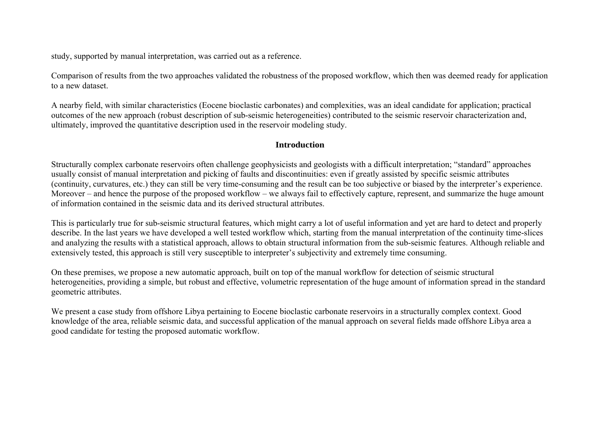study, supported by manual interpretation, was carried out as a reference.

Comparison of results from the two approaches validated the robustness of the proposed workflow, which then was deemed ready for application to a new dataset.

A nearby field, with similar characteristics (Eocene bioclastic carbonates) and complexities, was an ideal candidate for application; practical outcomes of the new approach (robust description of sub-seismic heterogeneities) contributed to the seismic reservoir characterization and, ultimately, improved the quantitative description used in the reservoir modeling study.

#### **Introduction**

Structurally complex carbonate reservoirs often challenge geophysicists and geologists with a difficult interpretation; "standard" approaches usually consist of manual interpretation and picking of faults and discontinuities: even if greatly assisted by specific seismic attributes (continuity, curvatures, etc.) they can still be very time-consuming and the result can be too subjective or biased by the interpreter's experience. Moreover – and hence the purpose of the proposed workflow – we always fail to effectively capture, represent, and summarize the huge amount of information contained in the seismic data and its derived structural attributes.

This is particularly true for sub-seismic structural features, which might carry a lot of useful information and yet are hard to detect and properly describe. In the last years we have developed a well tested workflow which, starting from the manual interpretation of the continuity time-slices and analyzing the results with a statistical approach, allows to obtain structural information from the sub-seismic features. Although reliable and extensively tested, this approach is still very susceptible to interpreter's subjectivity and extremely time consuming.

On these premises, we propose a new automatic approach, built on top of the manual workflow for detection of seismic structural heterogeneities, providing a simple, but robust and effective, volumetric representation of the huge amount of information spread in the standard geometric attributes.

We present a case study from offshore Libya pertaining to Eocene bioclastic carbonate reservoirs in a structurally complex context. Good knowledge of the area, reliable seismic data, and successful application of the manual approach on several fields made offshore Libya area a good candidate for testing the proposed automatic workflow.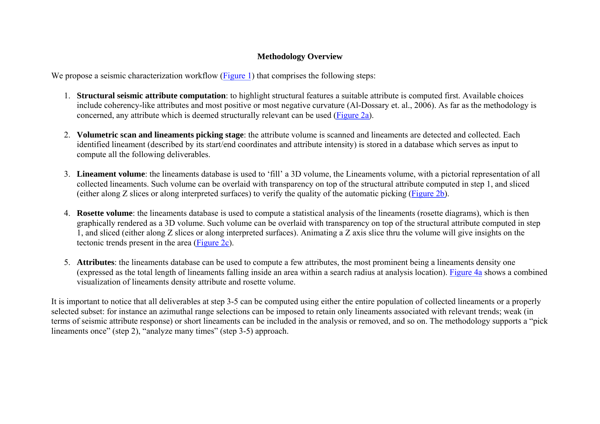### **Methodology Overview**

We propose a seismic characterization workflow [\(Figure 1](#page-6-0)) that comprises the following steps:

- 1. **Structural seismic attribute computation**: to highlight structural features a suitable attribute is computed first. Available choices include coherency-like attributes and most positive or most negative curvature (Al-Dossary et. al., 2006). As far as the methodology is concerned, any attribute which is deemed structurally relevant can be used [\(Figure 2a\)](#page-7-0).
- 2. **Volumetric scan and lineaments picking stage**: the attribute volume is scanned and lineaments are detected and collected. Each identified lineament (described by its start/end coordinates and attribute intensity) is stored in a database which serves as input to compute all the following deliverables.
- 3. **Lineament volume**: the lineaments database is used to 'fill' a 3D volume, the Lineaments volume, with a pictorial representation of all collected lineaments. Such volume can be overlaid with transparency on top of the structural attribute computed in step 1, and sliced (either along Z slices or along interpreted surfaces) to verify the quality of the automatic picking ([Figure 2b\)](#page-7-0).
- 4. **Rosette volume**: the lineaments database is used to compute a statistical analysis of the lineaments (rosette diagrams), which is then graphically rendered as a 3D volume. Such volume can be overlaid with transparency on top of the structural attribute computed in step 1, and sliced (either along Z slices or along interpreted surfaces). Animating a Z axis slice thru the volume will give insights on the tectonic trends present in the area [\(Figure 2c\)](#page-7-0).
- 5. **Attributes**: the lineaments database can be used to compute a few attributes, the most prominent being a lineaments density one (expressed as the total length of lineaments falling inside an area within a search radius at analysis location). [Figure 4a](#page-9-0) shows a combined visualization of lineaments density attribute and rosette volume.

It is important to notice that all deliverables at step 3-5 can be computed using either the entire population of collected lineaments or a properly selected subset: for instance an azimuthal range selections can be imposed to retain only lineaments associated with relevant trends; weak (in terms of seismic attribute response) or short lineaments can be included in the analysis or removed, and so on. The methodology supports a "pick lineaments once" (step 2), "analyze many times" (step 3-5) approach.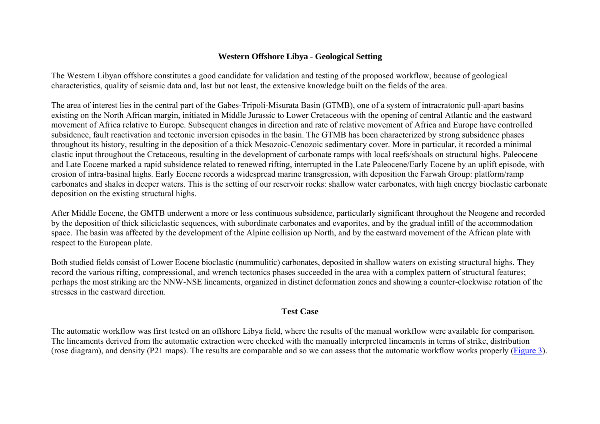### **Western Offshore Libya - Geological Setting**

The Western Libyan offshore constitutes a good candidate for validation and testing of the proposed workflow, because of geological characteristics, quality of seismic data and, last but not least, the extensive knowledge built on the fields of the area.

The area of interest lies in the central part of the Gabes-Tripoli-Misurata Basin (GTMB), one of a system of intracratonic pull-apart basins existing on the North African margin, initiated in Middle Jurassic to Lower Cretaceous with the opening of central Atlantic and the eastward movement of Africa relative to Europe. Subsequent changes in direction and rate of relative movement of Africa and Europe have controlled subsidence, fault reactivation and tectonic inversion episodes in the basin. The GTMB has been characterized by strong subsidence phases throughout its history, resulting in the deposition of a thick Mesozoic-Cenozoic sedimentary cover. More in particular, it recorded a minimal clastic input throughout the Cretaceous, resulting in the development of carbonate ramps with local reefs/shoals on structural highs. Paleocene and Late Eocene marked a rapid subsidence related to renewed rifting, interrupted in the Late Paleocene/Early Eocene by an uplift episode, with erosion of intra-basinal highs. Early Eocene records a widespread marine transgression, with deposition the Farwah Group: platform/ramp carbonates and shales in deeper waters. This is the setting of our reservoir rocks: shallow water carbonates, with high energy bioclastic carbonate deposition on the existing structural highs.

After Middle Eocene, the GMTB underwent a more or less continuous subsidence, particularly significant throughout the Neogene and recorded by the deposition of thick siliciclastic sequences, with subordinate carbonates and evaporites, and by the gradual infill of the accommodation space. The basin was affected by the development of the Alpine collision up North, and by the eastward movement of the African plate with respect to the European plate.

Both studied fields consist of Lower Eocene bioclastic (nummulitic) carbonates, deposited in shallow waters on existing structural highs. They record the various rifting, compressional, and wrench tectonics phases succeeded in the area with a complex pattern of structural features; perhaps the most striking are the NNW-NSE lineaments, organized in distinct deformation zones and showing a counter-clockwise rotation of the stresses in the eastward direction.

### **Test Case**

The automatic workflow was first tested on an offshore Libya field, where the results of the manual workflow were available for comparison. The lineaments derived from the automatic extraction were checked with the manually interpreted lineaments in terms of strike, distribution (rose diagram), and density (P21 maps). The results are comparable and so we can assess that the automatic workflow works properly [\(Figure 3\)](#page-8-0).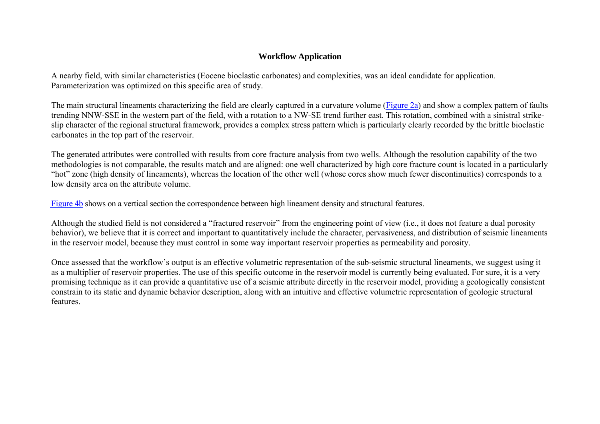## **Workflow Application**

A nearby field, with similar characteristics (Eocene bioclastic carbonates) and complexities, was an ideal candidate for application. Parameterization was optimized on this specific area of study.

The main structural lineaments characterizing the field are clearly captured in a curvature volume [\(Figure 2a](#page-7-0)) and show a complex pattern of faults trending NNW-SSE in the western part of the field, with a rotation to a NW-SE trend further east. This rotation, combined with a sinistral strikeslip character of the regional structural framework, provides a complex stress pattern which is particularly clearly recorded by the brittle bioclastic carbonates in the top part of the reservoir.

The generated attributes were controlled with results from core fracture analysis from two wells. Although the resolution capability of the two methodologies is not comparable, the results match and are aligned: one well characterized by high core fracture count is located in a particularly "hot" zone (high density of lineaments), whereas the location of the other well (whose cores show much fewer discontinuities) corresponds to a low density area on the attribute volume.

[Figure 4b](#page-7-0) shows on a vertical section the correspondence between high lineament density and structural features.

Although the studied field is not considered a "fractured reservoir" from the engineering point of view (i.e., it does not feature a dual porosity behavior), we believe that it is correct and important to quantitatively include the character, pervasiveness, and distribution of seismic lineaments in the reservoir model, because they must control in some way important reservoir properties as permeability and porosity.

Once assessed that the workflow's output is an effective volumetric representation of the sub-seismic structural lineaments, we suggest using it as a multiplier of reservoir properties. The use of this specific outcome in the reservoir model is currently being evaluated. For sure, it is a very promising technique as it can provide a quantitative use of a seismic attribute directly in the reservoir model, providing a geologically consistent constrain to its static and dynamic behavior description, along with an intuitive and effective volumetric representation of geologic structural features.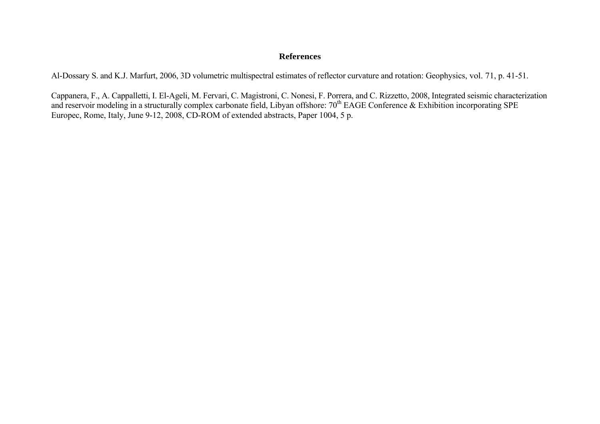#### **References**

Al-Dossary S. and K.J. Marfurt, 2006, 3D volumetric multispectral estimates of reflector curvature and rotation: Geophysics, vol. 71, p. 41-51.

Cappanera, F., A. Cappalletti, I. El-Ageli, M. Fervari, C. Magistroni, C. Nonesi, F. Porrera, and C. Rizzetto, 2008, Integrated seismic characterization and reservoir modeling in a structurally complex carbonate field, Libyan offshore: 70<sup>th</sup> EAGE Conference & Exhibition incorporating SPE Europec, Rome, Italy, June 9-12, 2008, CD-ROM of extended abstracts, Paper 1004, 5 p.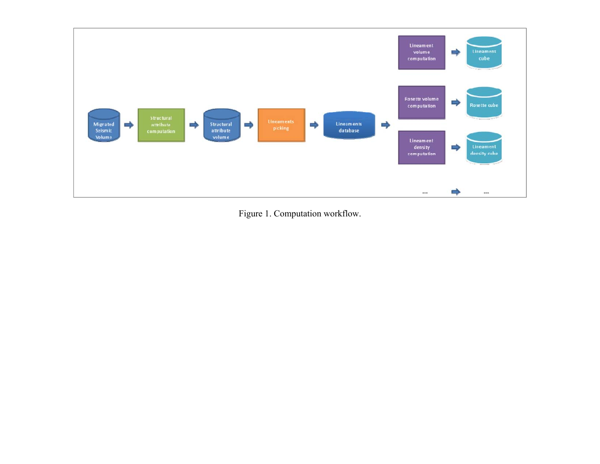<span id="page-6-0"></span>

Figure 1. Computation workflow.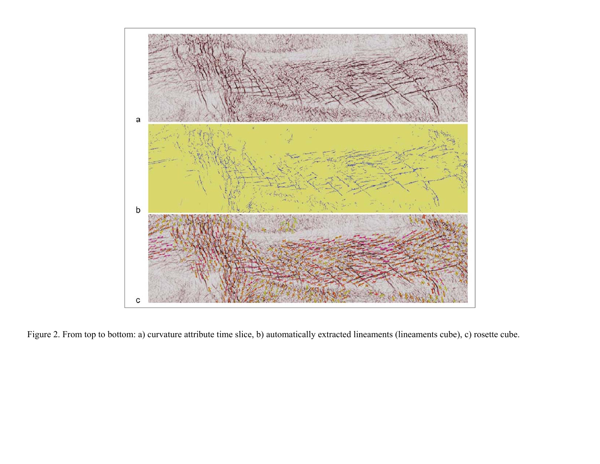<span id="page-7-0"></span>

Figure 2. From top to bottom: a) curvature attribute time slice, b) automatically extracted lineaments (lineaments cube), c) rosette cube.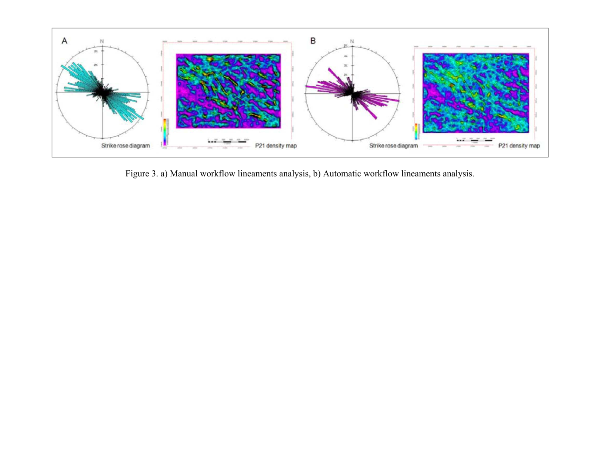<span id="page-8-0"></span>

Figure 3. a) Manual workflow lineaments analysis, b) Automatic workflow lineaments analysis.